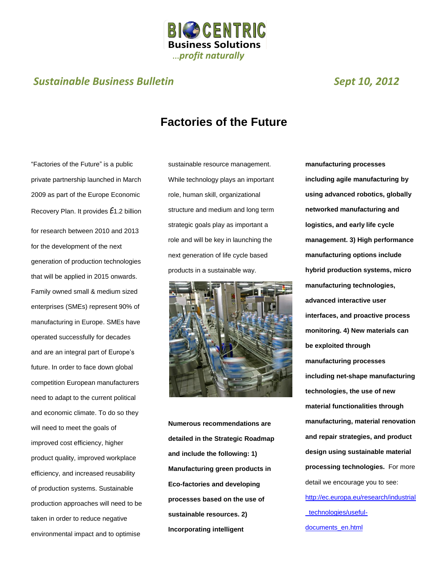

### *Sustainable Business Bulletin Sept 10, 2012*

## **Factories of the Future**

"Factories of the Future" is a public private partnership launched in March 2009 as part of the Europe Economic Recovery Plan. It provides E1.2 billion for research between 2010 and 2013 for the development of the next generation of production technologies that will be applied in 2015 onwards. Family owned small & medium sized enterprises (SMEs) represent 90% of manufacturing in Europe. SMEs have operated successfully for decades and are an integral part of Europe's future. In order to face down global competition European manufacturers need to adapt to the current political and economic climate. To do so they will need to meet the goals of improved cost efficiency, higher product quality, improved workplace efficiency, and increased reusability of production systems. Sustainable production approaches will need to be taken in order to reduce negative environmental impact and to optimise

sustainable resource management. While technology plays an important role, human skill, organizational structure and medium and long term strategic goals play as important a role and will be key in launching the next generation of life cycle based products in a sustainable way.



**Numerous recommendations are detailed in the Strategic Roadmap and include the following: 1) Manufacturing green products in Eco-factories and developing processes based on the use of sustainable resources. 2) Incorporating intelligent** 

**manufacturing processes including agile manufacturing by using advanced robotics, globally networked manufacturing and logistics, and early life cycle management. 3) High performance manufacturing options include hybrid production systems, micro manufacturing technologies, advanced interactive user interfaces, and proactive process monitoring. 4) New materials can be exploited through manufacturing processes including net-shape manufacturing technologies, the use of new material functionalities through manufacturing, material renovation and repair strategies, and product design using sustainable material processing technologies.** For more detail we encourage you to see: [http://ec.europa.eu/research/industrial](http://ec.europa.eu/research/industrial_technologies/useful-documents_en.html) [\\_technologies/useful](http://ec.europa.eu/research/industrial_technologies/useful-documents_en.html)[documents\\_en.html](http://ec.europa.eu/research/industrial_technologies/useful-documents_en.html)